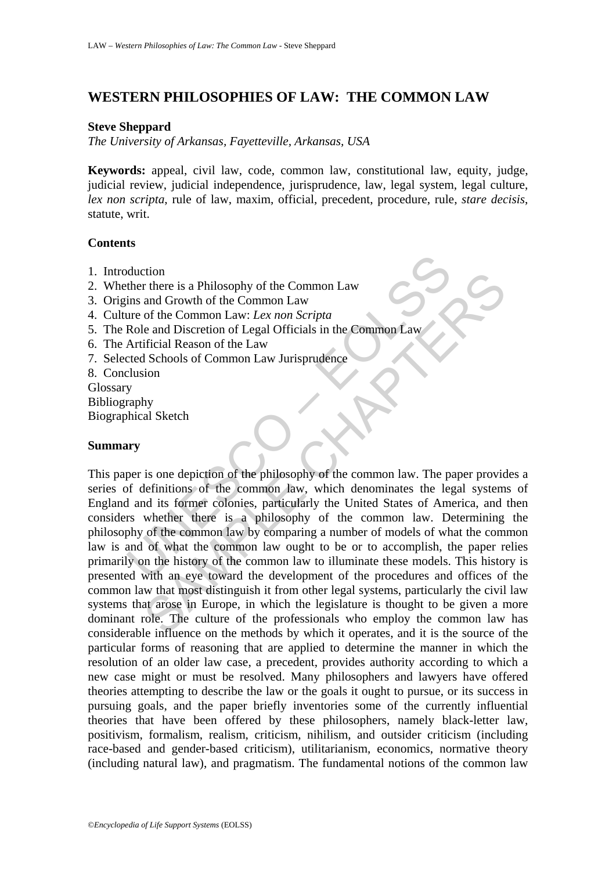# **WESTERN PHILOSOPHIES OF LAW: THE COMMON LAW**

#### **Steve Sheppard**

*The University of Arkansas, Fayetteville, Arkansas, USA* 

**Keywords:** appeal, civil law, code, common law, constitutional law, equity, judge, judicial review, judicial independence, jurisprudence, law, legal system, legal culture, *lex non scripta*, rule of law, maxim, official, precedent, procedure, rule, *stare decisis*, statute, writ.

#### **Contents**

- 1. Introduction
- 2. Whether there is a Philosophy of the Common Law
- 3. Origins and Growth of the Common Law
- 4. Culture of the Common Law: *Lex non Scripta*
- 5. The Role and Discretion of Legal Officials in the Common Law
- 6. The Artificial Reason of the Law
- 7. Selected Schools of Common Law Jurisprudence
- 8. Conclusion

Glossary Bibliography Biographical Sketch

## **Summary**

Multion<br>
ther there is a Philosophy of the Common Law<br>
ins and Growth of the Common Law<br>
ure of the Common Law: *Lex non Scripta*<br>
Role and Discretion of Legal Officials in the Common Law<br>
Artificial Reason of the Law<br>
Art The is a Philosophy of the Common Law<br>
r there is a Philosophy of the Common Law<br>
and Growth of the Common Law<br>
of the Common Law: *Lex non Scripta*<br>
of the Common Law: *Lex non Scripta*<br>
ificial Reason of the Law<br>
School This paper is one depiction of the philosophy of the common law. The paper provides a series of definitions of the common law, which denominates the legal systems of England and its former colonies, particularly the United States of America, and then considers whether there is a philosophy of the common law. Determining the philosophy of the common law by comparing a number of models of what the common law is and of what the common law ought to be or to accomplish, the paper relies primarily on the history of the common law to illuminate these models. This history is presented with an eye toward the development of the procedures and offices of the common law that most distinguish it from other legal systems, particularly the civil law systems that arose in Europe, in which the legislature is thought to be given a more dominant role. The culture of the professionals who employ the common law has considerable influence on the methods by which it operates, and it is the source of the particular forms of reasoning that are applied to determine the manner in which the resolution of an older law case, a precedent, provides authority according to which a new case might or must be resolved. Many philosophers and lawyers have offered theories attempting to describe the law or the goals it ought to pursue, or its success in pursuing goals, and the paper briefly inventories some of the currently influential theories that have been offered by these philosophers, namely black-letter law, positivism, formalism, realism, criticism, nihilism, and outsider criticism (including race-based and gender-based criticism), utilitarianism, economics, normative theory (including natural law), and pragmatism. The fundamental notions of the common law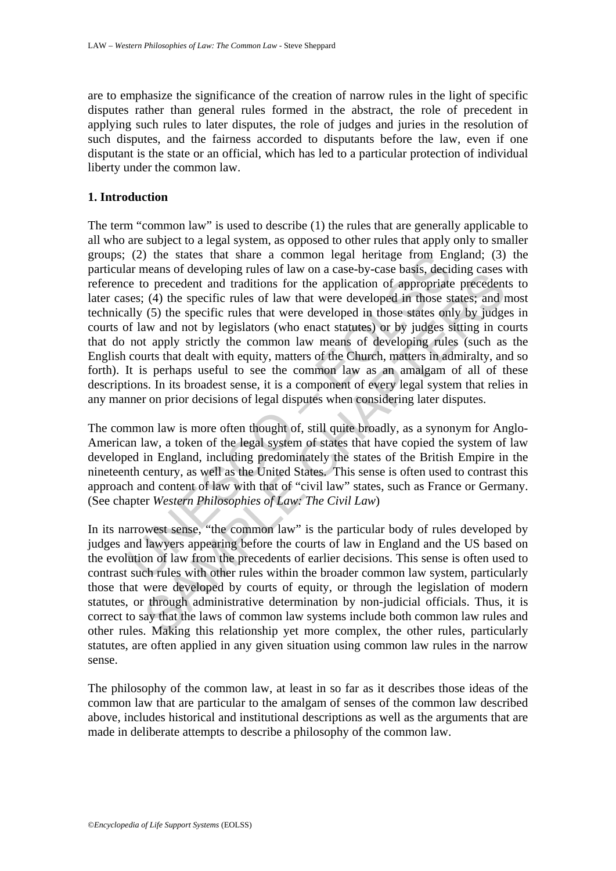are to emphasize the significance of the creation of narrow rules in the light of specific disputes rather than general rules formed in the abstract, the role of precedent in applying such rules to later disputes, the role of judges and juries in the resolution of such disputes, and the fairness accorded to disputants before the law, even if one disputant is the state or an official, which has led to a particular protection of individual liberty under the common law.

#### **1. Introduction**

(2) the states that share a common legal nerttage from En<br>ar menas of developing rules of law on a case-by-case basis, decise<br>ce to precedent and traditions for the application of appropriate<br>ses; (4) the specific rules o means or accolouge tuess or aw or a case-oy-case casas, decainty or properation of precedent and raditions for the application of appropriate precedent (4) the specific rules of law that were developed in those states; an The term "common law" is used to describe (1) the rules that are generally applicable to all who are subject to a legal system, as opposed to other rules that apply only to smaller groups; (2) the states that share a common legal heritage from England; (3) the particular means of developing rules of law on a case-by-case basis, deciding cases with reference to precedent and traditions for the application of appropriate precedents to later cases; (4) the specific rules of law that were developed in those states; and most technically (5) the specific rules that were developed in those states only by judges in courts of law and not by legislators (who enact statutes) or by judges sitting in courts that do not apply strictly the common law means of developing rules (such as the English courts that dealt with equity, matters of the Church, matters in admiralty, and so forth). It is perhaps useful to see the common law as an amalgam of all of these descriptions. In its broadest sense, it is a component of every legal system that relies in any manner on prior decisions of legal disputes when considering later disputes.

The common law is more often thought of, still quite broadly, as a synonym for Anglo-American law, a token of the legal system of states that have copied the system of law developed in England, including predominately the states of the British Empire in the nineteenth century, as well as the United States. This sense is often used to contrast this approach and content of law with that of "civil law" states, such as France or Germany. (See chapter *Western Philosophies of Law: The Civil Law*)

In its narrowest sense, "the common law" is the particular body of rules developed by judges and lawyers appearing before the courts of law in England and the US based on the evolution of law from the precedents of earlier decisions. This sense is often used to contrast such rules with other rules within the broader common law system, particularly those that were developed by courts of equity, or through the legislation of modern statutes, or through administrative determination by non-judicial officials. Thus, it is correct to say that the laws of common law systems include both common law rules and other rules. Making this relationship yet more complex, the other rules, particularly statutes, are often applied in any given situation using common law rules in the narrow sense.

The philosophy of the common law, at least in so far as it describes those ideas of the common law that are particular to the amalgam of senses of the common law described above, includes historical and institutional descriptions as well as the arguments that are made in deliberate attempts to describe a philosophy of the common law.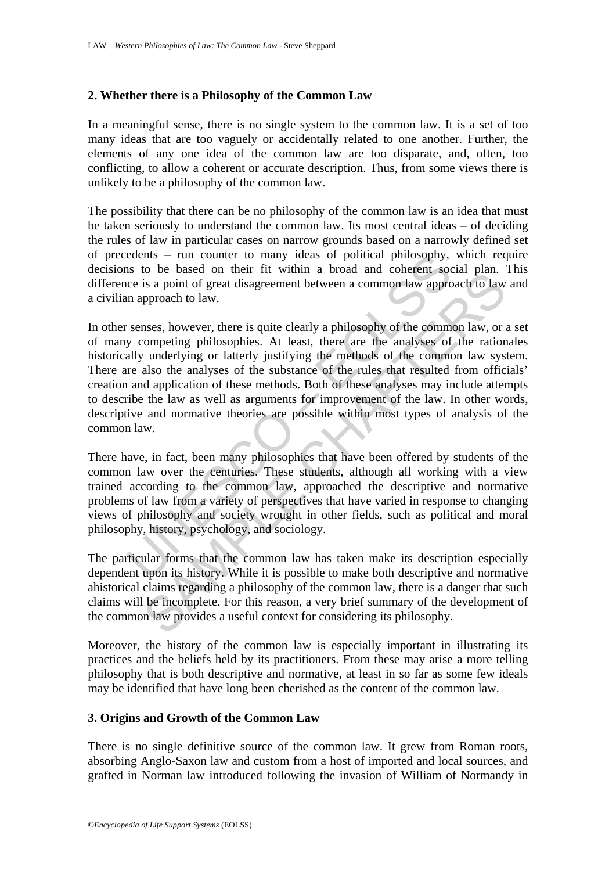#### **2. Whether there is a Philosophy of the Common Law**

In a meaningful sense, there is no single system to the common law. It is a set of too many ideas that are too vaguely or accidentally related to one another. Further, the elements of any one idea of the common law are too disparate, and, often, too conflicting, to allow a coherent or accurate description. Thus, from some views there is unlikely to be a philosophy of the common law.

The possibility that there can be no philosophy of the common law is an idea that must be taken seriously to understand the common law. Its most central ideas – of deciding the rules of law in particular cases on narrow grounds based on a narrowly defined set of precedents – run counter to many ideas of political philosophy, which require decisions to be based on their fit within a broad and coherent social plan. This difference is a point of great disagreement between a common law approach to law and a civilian approach to law.

edents – run counter to many ideas of political philosophy,<br>so to b based on their fit within a broad and coherent socce is a point of great disagreement between a common law approach to law.<br>senses, however, there is quit to e used on their in what a stock and concern social plant.<br>It is a point of great disagreement between a common law approach to law<br>pproach to law.<br>Showever, there is quite clearly a philosophy of the common law, or romp In other senses, however, there is quite clearly a philosophy of the common law, or a set of many competing philosophies. At least, there are the analyses of the rationales historically underlying or latterly justifying the methods of the common law system. There are also the analyses of the substance of the rules that resulted from officials' creation and application of these methods. Both of these analyses may include attempts to describe the law as well as arguments for improvement of the law. In other words, descriptive and normative theories are possible within most types of analysis of the common law.

There have, in fact, been many philosophies that have been offered by students of the common law over the centuries. These students, although all working with a view trained according to the common law, approached the descriptive and normative problems of law from a variety of perspectives that have varied in response to changing views of philosophy and society wrought in other fields, such as political and moral philosophy, history, psychology, and sociology.

The particular forms that the common law has taken make its description especially dependent upon its history. While it is possible to make both descriptive and normative ahistorical claims regarding a philosophy of the common law, there is a danger that such claims will be incomplete. For this reason, a very brief summary of the development of the common law provides a useful context for considering its philosophy.

Moreover, the history of the common law is especially important in illustrating its practices and the beliefs held by its practitioners. From these may arise a more telling philosophy that is both descriptive and normative, at least in so far as some few ideals may be identified that have long been cherished as the content of the common law.

## **3. Origins and Growth of the Common Law**

There is no single definitive source of the common law. It grew from Roman roots, absorbing Anglo-Saxon law and custom from a host of imported and local sources, and grafted in Norman law introduced following the invasion of William of Normandy in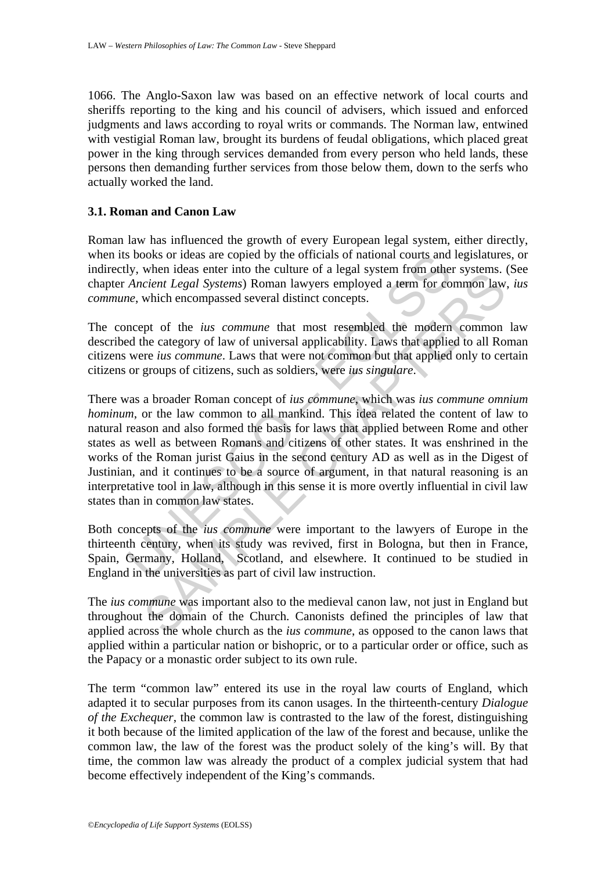1066. The Anglo-Saxon law was based on an effective network of local courts and sheriffs reporting to the king and his council of advisers, which issued and enforced judgments and laws according to royal writs or commands. The Norman law, entwined with vestigial Roman law, brought its burdens of feudal obligations, which placed great power in the king through services demanded from every person who held lands, these persons then demanding further services from those below them, down to the serfs who actually worked the land.

#### **3.1. Roman and Canon Law**

Roman law has influenced the growth of every European legal system, either directly, when its books or ideas are copied by the officials of national courts and legislatures, or indirectly, when ideas enter into the culture of a legal system from other systems. (See chapter *Ancient Legal Systems*) Roman lawyers employed a term for common law, *ius commune*, which encompassed several distinct concepts.

The concept of the *ius commune* that most resembled the modern common law described the category of law of universal applicability. Laws that applied to all Roman citizens were *ius commune*. Laws that were not common but that applied only to certain citizens or groups of citizens, such as soldiers, were *ius singulare*.

s books or ideas are copied by the officials of national courts and<br>ly, when ideas enter into the culture of a legal system from othe<br>*Ancient Legal Systems*) Roman lawyers employed a term for co<br>*e*, which encompassed sev when loads enter into the culture of a regar system from oner systems.<br> *Cient Legal Systems*) Roman lawyers employed a term for common law<br>
which encompassed several distinct concepts.<br>
ppt of the *ius commune* that most There was a broader Roman concept of *ius commune*, which was *ius commune omnium hominum*, or the law common to all mankind. This idea related the content of law to natural reason and also formed the basis for laws that applied between Rome and other states as well as between Romans and citizens of other states. It was enshrined in the works of the Roman jurist Gaius in the second century AD as well as in the Digest of Justinian, and it continues to be a source of argument, in that natural reasoning is an interpretative tool in law, although in this sense it is more overtly influential in civil law states than in common law states.

Both concepts of the *ius commune* were important to the lawyers of Europe in the thirteenth century, when its study was revived, first in Bologna, but then in France, Spain, Germany, Holland, Scotland, and elsewhere. It continued to be studied in England in the universities as part of civil law instruction.

The *ius commune* was important also to the medieval canon law, not just in England but throughout the domain of the Church. Canonists defined the principles of law that applied across the whole church as the *ius commune*, as opposed to the canon laws that applied within a particular nation or bishopric, or to a particular order or office, such as the Papacy or a monastic order subject to its own rule.

The term "common law" entered its use in the royal law courts of England, which adapted it to secular purposes from its canon usages. In the thirteenth-century *Dialogue of the Exchequer*, the common law is contrasted to the law of the forest, distinguishing it both because of the limited application of the law of the forest and because, unlike the common law, the law of the forest was the product solely of the king's will. By that time, the common law was already the product of a complex judicial system that had become effectively independent of the King's commands.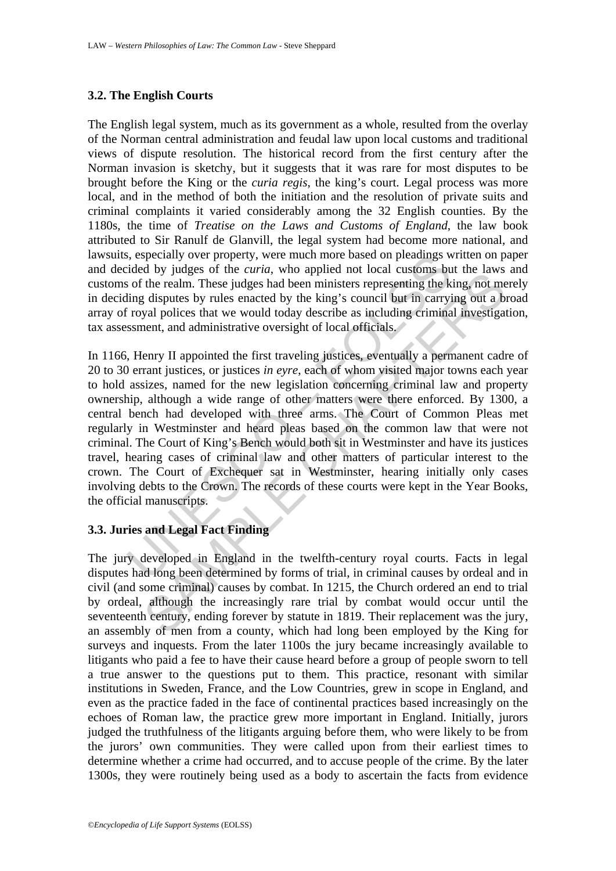## **3.2. The English Courts**

The English legal system, much as its government as a whole, resulted from the overlay of the Norman central administration and feudal law upon local customs and traditional views of dispute resolution. The historical record from the first century after the Norman invasion is sketchy, but it suggests that it was rare for most disputes to be brought before the King or the *curia regis*, the king's court. Legal process was more local, and in the method of both the initiation and the resolution of private suits and criminal complaints it varied considerably among the 32 English counties. By the 1180s, the time of *Treatise on the Laws and Customs of England*, the law book attributed to Sir Ranulf de Glanvill, the legal system had become more national, and lawsuits, especially over property, were much more based on pleadings written on paper and decided by judges of the *curia*, who applied not local customs but the laws and customs of the realm. These judges had been ministers representing the king, not merely in deciding disputes by rules enacted by the king's council but in carrying out a broad array of royal polices that we would today describe as including criminal investigation, tax assessment, and administrative oversight of local officials.

s, especially over property, were much more based on pleadings wided by judges of the *curia*, who applied not local customs but in  $\sin$  of the realm. These judges had been ministers representing the king disputes by rules d by judices of triminal and the twelfth-century royal courts. Facts in the intervals of the increase of the realm. These judges had been ministers representing the king, not met is disputes by rules enacted by the king's In 1166, Henry II appointed the first traveling justices, eventually a permanent cadre of 20 to 30 errant justices, or justices *in eyre*, each of whom visited major towns each year to hold assizes, named for the new legislation concerning criminal law and property ownership, although a wide range of other matters were there enforced. By 1300, a central bench had developed with three arms. The Court of Common Pleas met regularly in Westminster and heard pleas based on the common law that were not criminal. The Court of King's Bench would both sit in Westminster and have its justices travel, hearing cases of criminal law and other matters of particular interest to the crown. The Court of Exchequer sat in Westminster, hearing initially only cases involving debts to the Crown. The records of these courts were kept in the Year Books, the official manuscripts.

## **3.3. Juries and Legal Fact Finding**

The jury developed in England in the twelfth-century royal courts. Facts in legal disputes had long been determined by forms of trial, in criminal causes by ordeal and in civil (and some criminal) causes by combat. In 1215, the Church ordered an end to trial by ordeal, although the increasingly rare trial by combat would occur until the seventeenth century, ending forever by statute in 1819. Their replacement was the jury, an assembly of men from a county, which had long been employed by the King for surveys and inquests. From the later 1100s the jury became increasingly available to litigants who paid a fee to have their cause heard before a group of people sworn to tell a true answer to the questions put to them. This practice, resonant with similar institutions in Sweden, France, and the Low Countries, grew in scope in England, and even as the practice faded in the face of continental practices based increasingly on the echoes of Roman law, the practice grew more important in England. Initially, jurors judged the truthfulness of the litigants arguing before them, who were likely to be from the jurors' own communities. They were called upon from their earliest times to determine whether a crime had occurred, and to accuse people of the crime. By the later 1300s, they were routinely being used as a body to ascertain the facts from evidence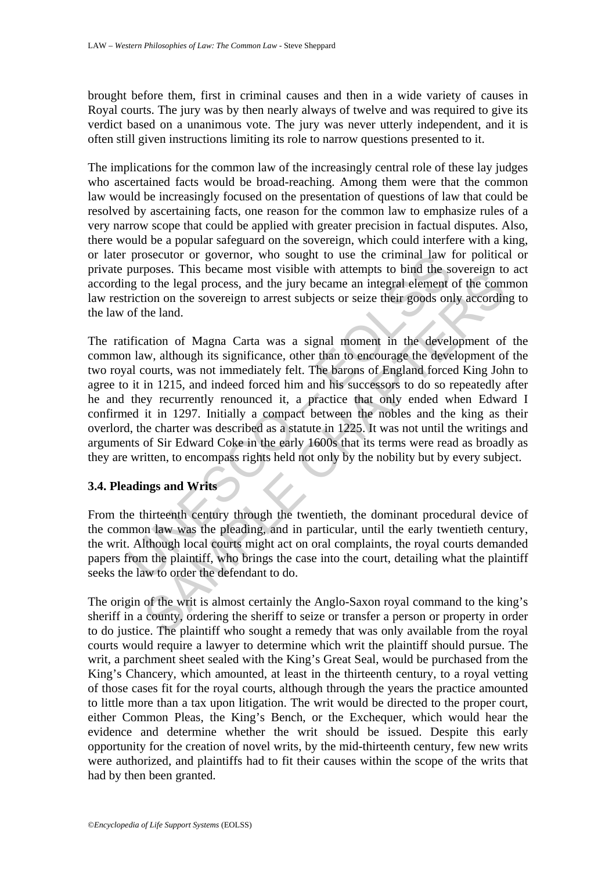brought before them, first in criminal causes and then in a wide variety of causes in Royal courts. The jury was by then nearly always of twelve and was required to give its verdict based on a unanimous vote. The jury was never utterly independent, and it is often still given instructions limiting its role to narrow questions presented to it.

The implications for the common law of the increasingly central role of these lay judges who ascertained facts would be broad-reaching. Among them were that the common law would be increasingly focused on the presentation of questions of law that could be resolved by ascertaining facts, one reason for the common law to emphasize rules of a very narrow scope that could be applied with greater precision in factual disputes. Also, there would be a popular safeguard on the sovereign, which could interfere with a king, or later prosecutor or governor, who sought to use the criminal law for political or private purposes. This became most visible with attempts to bind the sovereign to act according to the legal process, and the jury became an integral element of the common law restriction on the sovereign to arrest subjects or seize their goods only according to the law of the land.

prosecutor or governor, who sought to use the criminal law is<br>purposes. This became most visible with attempts to bind the so<br>ng to the legal process, and the jury became an integral element<br>riction on the sovereign to arr boxes. This oceania most vision to the attempts to ontare as vector with the diverger at the sources, and the jury became an integral element of the com<br>tion on the sovereign to arrest subjects or seize their goods only ac The ratification of Magna Carta was a signal moment in the development of the common law, although its significance, other than to encourage the development of the two royal courts, was not immediately felt. The barons of England forced King John to agree to it in 1215, and indeed forced him and his successors to do so repeatedly after he and they recurrently renounced it, a practice that only ended when Edward I confirmed it in 1297. Initially a compact between the nobles and the king as their overlord, the charter was described as a statute in 1225. It was not until the writings and arguments of Sir Edward Coke in the early 1600s that its terms were read as broadly as they are written, to encompass rights held not only by the nobility but by every subject.

## **3.4. Pleadings and Writs**

From the thirteenth century through the twentieth, the dominant procedural device of the common law was the pleading, and in particular, until the early twentieth century, the writ. Although local courts might act on oral complaints, the royal courts demanded papers from the plaintiff, who brings the case into the court, detailing what the plaintiff seeks the law to order the defendant to do.

The origin of the writ is almost certainly the Anglo-Saxon royal command to the king's sheriff in a county, ordering the sheriff to seize or transfer a person or property in order to do justice. The plaintiff who sought a remedy that was only available from the royal courts would require a lawyer to determine which writ the plaintiff should pursue. The writ, a parchment sheet sealed with the King's Great Seal, would be purchased from the King's Chancery, which amounted, at least in the thirteenth century, to a royal vetting of those cases fit for the royal courts, although through the years the practice amounted to little more than a tax upon litigation. The writ would be directed to the proper court, either Common Pleas, the King's Bench, or the Exchequer, which would hear the evidence and determine whether the writ should be issued. Despite this early opportunity for the creation of novel writs, by the mid-thirteenth century, few new writs were authorized, and plaintiffs had to fit their causes within the scope of the writs that had by then been granted.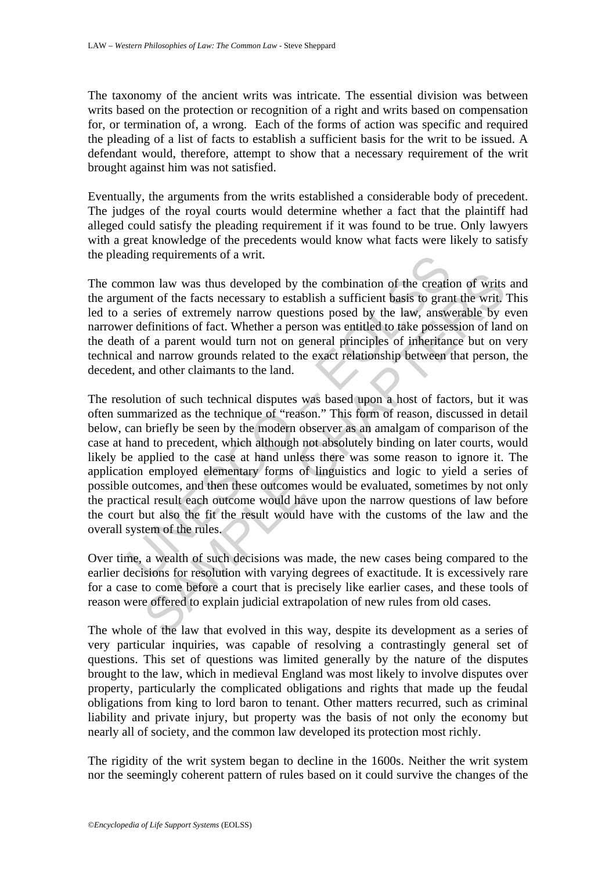The taxonomy of the ancient writs was intricate. The essential division was between writs based on the protection or recognition of a right and writs based on compensation for, or termination of, a wrong. Each of the forms of action was specific and required the pleading of a list of facts to establish a sufficient basis for the writ to be issued. A defendant would, therefore, attempt to show that a necessary requirement of the writ brought against him was not satisfied.

Eventually, the arguments from the writs established a considerable body of precedent. The judges of the royal courts would determine whether a fact that the plaintiff had alleged could satisfy the pleading requirement if it was found to be true. Only lawyers with a great knowledge of the precedents would know what facts were likely to satisfy the pleading requirements of a writ.

The common law was thus developed by the combination of the creation of writs and the argument of the facts necessary to establish a sufficient basis to grant the writ. This led to a series of extremely narrow questions posed by the law, answerable by even narrower definitions of fact. Whether a person was entitled to take possession of land on the death of a parent would turn not on general principles of inheritance but on very technical and narrow grounds related to the exact relationship between that person, the decedent, and other claimants to the land.

ding requirements of a writ.<br>
mmon law was thus developed by the combination of the creatic<br>
ment of the facts necessary to establish a sufficient basis to gran<br>
i series of extremely narrow questions posed by the law, ans on law was thus developed by the combination of the creation of writs<br>int of the facts necessary to establish a sufficient basis to grant the writ.<br>The finitions of fact. Whether a person was entitled to take possession of The resolution of such technical disputes was based upon a host of factors, but it was often summarized as the technique of "reason." This form of reason, discussed in detail below, can briefly be seen by the modern observer as an amalgam of comparison of the case at hand to precedent, which although not absolutely binding on later courts, would likely be applied to the case at hand unless there was some reason to ignore it. The application employed elementary forms of linguistics and logic to yield a series of possible outcomes, and then these outcomes would be evaluated, sometimes by not only the practical result each outcome would have upon the narrow questions of law before the court but also the fit the result would have with the customs of the law and the overall system of the rules.

Over time, a wealth of such decisions was made, the new cases being compared to the earlier decisions for resolution with varying degrees of exactitude. It is excessively rare for a case to come before a court that is precisely like earlier cases, and these tools of reason were offered to explain judicial extrapolation of new rules from old cases.

The whole of the law that evolved in this way, despite its development as a series of very particular inquiries, was capable of resolving a contrastingly general set of questions. This set of questions was limited generally by the nature of the disputes brought to the law, which in medieval England was most likely to involve disputes over property, particularly the complicated obligations and rights that made up the feudal obligations from king to lord baron to tenant. Other matters recurred, such as criminal liability and private injury, but property was the basis of not only the economy but nearly all of society, and the common law developed its protection most richly.

The rigidity of the writ system began to decline in the 1600s. Neither the writ system nor the seemingly coherent pattern of rules based on it could survive the changes of the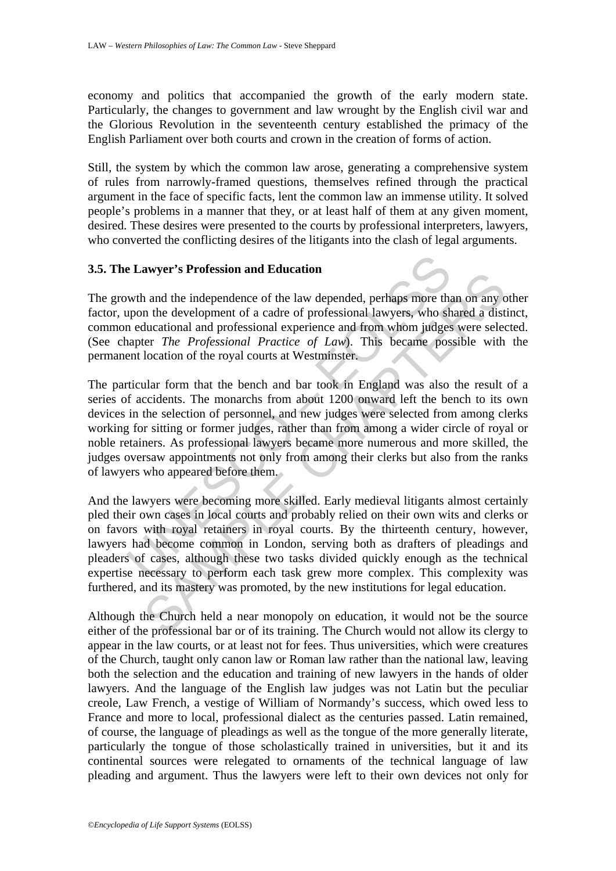economy and politics that accompanied the growth of the early modern state. Particularly, the changes to government and law wrought by the English civil war and the Glorious Revolution in the seventeenth century established the primacy of the English Parliament over both courts and crown in the creation of forms of action.

Still, the system by which the common law arose, generating a comprehensive system of rules from narrowly-framed questions, themselves refined through the practical argument in the face of specific facts, lent the common law an immense utility. It solved people's problems in a manner that they, or at least half of them at any given moment, desired. These desires were presented to the courts by professional interpreters, lawyers, who converted the conflicting desires of the litigants into the clash of legal arguments.

## **3.5. The Lawyer's Profession and Education**

The growth and the independence of the law depended, perhaps more than on any other factor, upon the development of a cadre of professional lawyers, who shared a distinct, common educational and professional experience and from whom judges were selected. (See chapter *The Professional Practice of Law*). This became possible with the permanent location of the royal courts at Westminster.

**Example 16 Example 16 Example 16 Example 16 Example 20 Example 26 Example 16 Example 16 Example 16 Example 16 Example 16 Example 16 Example 17 Example 17 Example 17 Example 17 Example 17 Example 17 Example 17 Example 17** anyer **STFORESSION and Education**<br>
and the independence of the law depended, perhaps more than on any or<br>
and the independence of the law depended, perhaps more than on any or<br>
and the development of a cadre of professiona The particular form that the bench and bar took in England was also the result of a series of accidents. The monarchs from about 1200 onward left the bench to its own devices in the selection of personnel, and new judges were selected from among clerks working for sitting or former judges, rather than from among a wider circle of royal or noble retainers. As professional lawyers became more numerous and more skilled, the judges oversaw appointments not only from among their clerks but also from the ranks of lawyers who appeared before them.

And the lawyers were becoming more skilled. Early medieval litigants almost certainly pled their own cases in local courts and probably relied on their own wits and clerks or on favors with royal retainers in royal courts. By the thirteenth century, however, lawyers had become common in London, serving both as drafters of pleadings and pleaders of cases, although these two tasks divided quickly enough as the technical expertise necessary to perform each task grew more complex. This complexity was furthered, and its mastery was promoted, by the new institutions for legal education.

Although the Church held a near monopoly on education, it would not be the source either of the professional bar or of its training. The Church would not allow its clergy to appear in the law courts, or at least not for fees. Thus universities, which were creatures of the Church, taught only canon law or Roman law rather than the national law, leaving both the selection and the education and training of new lawyers in the hands of older lawyers. And the language of the English law judges was not Latin but the peculiar creole, Law French, a vestige of William of Normandy's success, which owed less to France and more to local, professional dialect as the centuries passed. Latin remained, of course, the language of pleadings as well as the tongue of the more generally literate, particularly the tongue of those scholastically trained in universities, but it and its continental sources were relegated to ornaments of the technical language of law pleading and argument. Thus the lawyers were left to their own devices not only for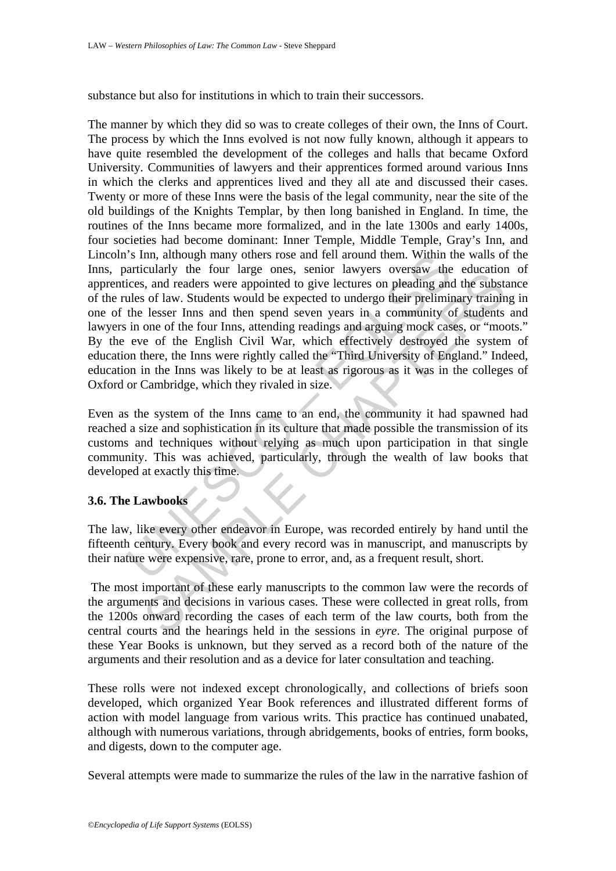substance but also for institutions in which to train their successors.

is inn, atthough many others rose and reli around them. Within the four large ones, senior lawyers oversaw the core access, and readers were appointed to give lectures on pleading and ulles of law. Students would be expect calary in the loan large offers, such a way be seen any increasion and the substantial particles and readers were appointed to give lectures on pleading and the substs of law. Students would be expected to undergo their pr The manner by which they did so was to create colleges of their own, the Inns of Court. The process by which the Inns evolved is not now fully known, although it appears to have quite resembled the development of the colleges and halls that became Oxford University. Communities of lawyers and their apprentices formed around various Inns in which the clerks and apprentices lived and they all ate and discussed their cases. Twenty or more of these Inns were the basis of the legal community, near the site of the old buildings of the Knights Templar, by then long banished in England. In time, the routines of the Inns became more formalized, and in the late 1300s and early 1400s, four societies had become dominant: Inner Temple, Middle Temple, Gray's Inn, and Lincoln's Inn, although many others rose and fell around them. Within the walls of the Inns, particularly the four large ones, senior lawyers oversaw the education of apprentices, and readers were appointed to give lectures on pleading and the substance of the rules of law. Students would be expected to undergo their preliminary training in one of the lesser Inns and then spend seven years in a community of students and lawyers in one of the four Inns, attending readings and arguing mock cases, or "moots." By the eve of the English Civil War, which effectively destroyed the system of education there, the Inns were rightly called the "Third University of England." Indeed, education in the Inns was likely to be at least as rigorous as it was in the colleges of Oxford or Cambridge, which they rivaled in size.

Even as the system of the Inns came to an end, the community it had spawned had reached a size and sophistication in its culture that made possible the transmission of its customs and techniques without relying as much upon participation in that single community. This was achieved, particularly, through the wealth of law books that developed at exactly this time.

## **3.6. The Lawbooks**

The law, like every other endeavor in Europe, was recorded entirely by hand until the fifteenth century. Every book and every record was in manuscript, and manuscripts by their nature were expensive, rare, prone to error, and, as a frequent result, short.

 The most important of these early manuscripts to the common law were the records of the arguments and decisions in various cases. These were collected in great rolls, from the 1200s onward recording the cases of each term of the law courts, both from the central courts and the hearings held in the sessions in *eyre*. The original purpose of these Year Books is unknown, but they served as a record both of the nature of the arguments and their resolution and as a device for later consultation and teaching.

These rolls were not indexed except chronologically, and collections of briefs soon developed, which organized Year Book references and illustrated different forms of action with model language from various writs. This practice has continued unabated, although with numerous variations, through abridgements, books of entries, form books, and digests, down to the computer age.

Several attempts were made to summarize the rules of the law in the narrative fashion of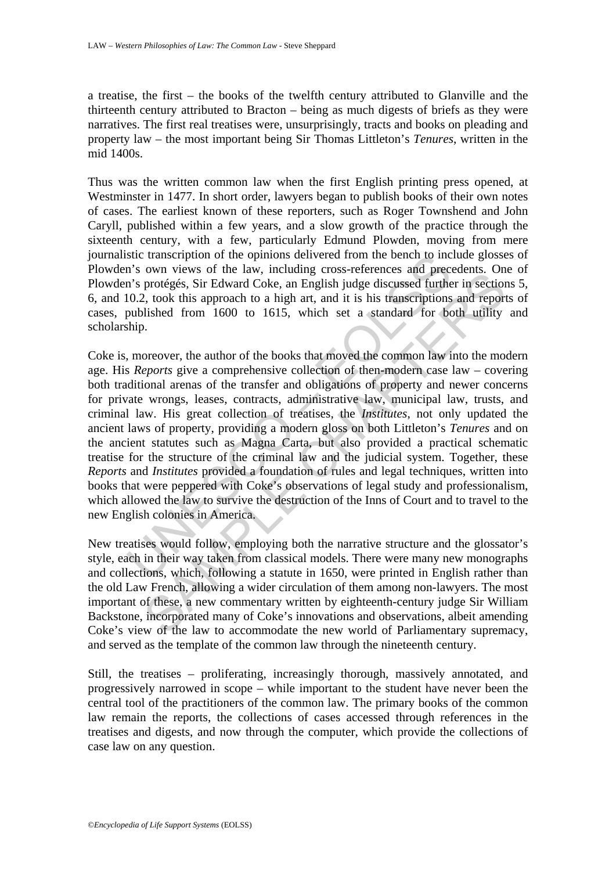a treatise, the first – the books of the twelfth century attributed to Glanville and the thirteenth century attributed to Bracton – being as much digests of briefs as they were narratives. The first real treatises were, unsurprisingly, tracts and books on pleading and property law – the most important being Sir Thomas Littleton's *Tenures*, written in the mid 1400s.

Thus was the written common law when the first English printing press opened, at Westminster in 1477. In short order, lawyers began to publish books of their own notes of cases. The earliest known of these reporters, such as Roger Townshend and John Caryll, published within a few years, and a slow growth of the practice through the sixteenth century, with a few, particularly Edmund Plowden, moving from mere journalistic transcription of the opinions delivered from the bench to include glosses of Plowden's own views of the law, including cross-references and precedents. One of Plowden's protégés, Sir Edward Coke, an English judge discussed further in sections 5, 6, and 10.2, took this approach to a high art, and it is his transcriptions and reports of cases, published from 1600 to 1615, which set a standard for both utility and scholarship.

stic transcription of the opinions delivered from the bench to inc<br>n's own views of the law, including cross-references and precess<br>in's protégés, Sir Edward Coke, an English judge discussed furthe<br>10.2, took this approach by the law, micrating closs-tententes and preceduates. On<br>protégés, Sir Edward Coke, an English judge discussed further in section<br>by to this approach to a high art, and it is his transcriptions and report<br>lished from 160 Coke is, moreover, the author of the books that moved the common law into the modern age. His *Reports* give a comprehensive collection of then-modern case law – covering both traditional arenas of the transfer and obligations of property and newer concerns for private wrongs, leases, contracts, administrative law, municipal law, trusts, and criminal law. His great collection of treatises, the *Institutes*, not only updated the ancient laws of property, providing a modern gloss on both Littleton's *Tenures* and on the ancient statutes such as Magna Carta, but also provided a practical schematic treatise for the structure of the criminal law and the judicial system. Together, these *Reports* and *Institutes* provided a foundation of rules and legal techniques, written into books that were peppered with Coke's observations of legal study and professionalism, which allowed the law to survive the destruction of the Inns of Court and to travel to the new English colonies in America.

New treatises would follow, employing both the narrative structure and the glossator's style, each in their way taken from classical models. There were many new monographs and collections, which, following a statute in 1650, were printed in English rather than the old Law French, allowing a wider circulation of them among non-lawyers. The most important of these, a new commentary written by eighteenth-century judge Sir William Backstone, incorporated many of Coke's innovations and observations, albeit amending Coke's view of the law to accommodate the new world of Parliamentary supremacy, and served as the template of the common law through the nineteenth century.

Still, the treatises – proliferating, increasingly thorough, massively annotated, and progressively narrowed in scope – while important to the student have never been the central tool of the practitioners of the common law. The primary books of the common law remain the reports, the collections of cases accessed through references in the treatises and digests, and now through the computer, which provide the collections of case law on any question.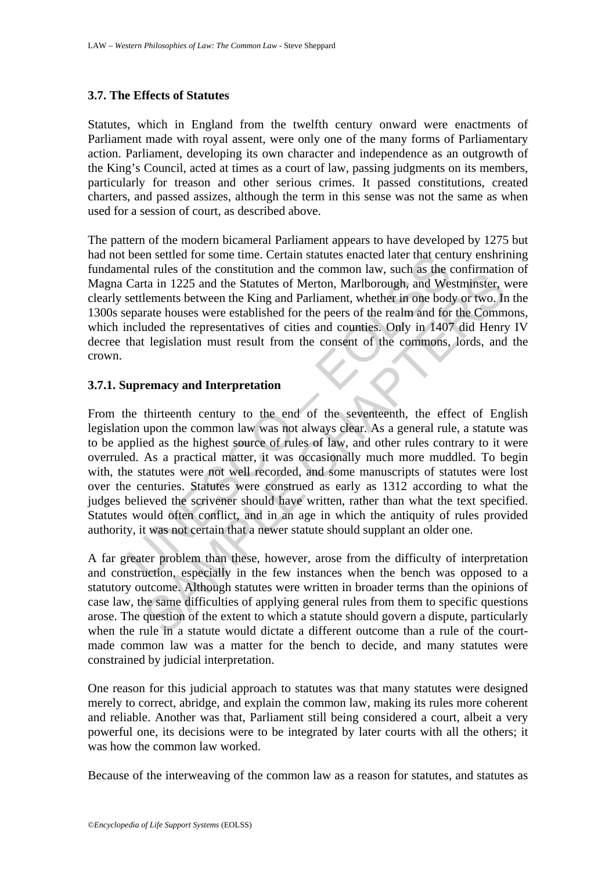#### **3.7. The Effects of Statutes**

Statutes, which in England from the twelfth century onward were enactments of Parliament made with royal assent, were only one of the many forms of Parliamentary action. Parliament, developing its own character and independence as an outgrowth of the King's Council, acted at times as a court of law, passing judgments on its members, particularly for treason and other serious crimes. It passed constitutions, created charters, and passed assizes, although the term in this sense was not the same as when used for a session of court, as described above.

The pattern of the modern bicameral Parliament appears to have developed by 1275 but had not been settled for some time. Certain statutes enacted later that century enshrining fundamental rules of the constitution and the common law, such as the confirmation of Magna Carta in 1225 and the Statutes of Merton, Marlborough, and Westminster, were clearly settlements between the King and Parliament, whether in one body or two. In the 1300s separate houses were established for the peers of the realm and for the Commons, which included the representatives of cities and counties. Only in 1407 did Henry IV decree that legislation must result from the consent of the commons, lords, and the crown.

#### **3.7.1. Supremacy and Interpretation**

been settled for some time. Certain statutes enacted later that ceneral rules of the constitution and the common law, such as the Carta in 1225 and the Statutes of Merton, Marlborough, and Westetlements between the King an and the construction and une common away, such as the comminator<br>at a in 1225 and the Statutes of Merton, Marlborough, and Westminster, venture hences of the representatives of crites and contributed the representative lem From the thirteenth century to the end of the seventeenth, the effect of English legislation upon the common law was not always clear. As a general rule, a statute was to be applied as the highest source of rules of law, and other rules contrary to it were overruled. As a practical matter, it was occasionally much more muddled. To begin with, the statutes were not well recorded, and some manuscripts of statutes were lost over the centuries. Statutes were construed as early as 1312 according to what the judges believed the scrivener should have written, rather than what the text specified. Statutes would often conflict, and in an age in which the antiquity of rules provided authority, it was not certain that a newer statute should supplant an older one.

A far greater problem than these, however, arose from the difficulty of interpretation and construction, especially in the few instances when the bench was opposed to a statutory outcome. Although statutes were written in broader terms than the opinions of case law, the same difficulties of applying general rules from them to specific questions arose. The question of the extent to which a statute should govern a dispute, particularly when the rule in a statute would dictate a different outcome than a rule of the courtmade common law was a matter for the bench to decide, and many statutes were constrained by judicial interpretation.

One reason for this judicial approach to statutes was that many statutes were designed merely to correct, abridge, and explain the common law, making its rules more coherent and reliable. Another was that, Parliament still being considered a court, albeit a very powerful one, its decisions were to be integrated by later courts with all the others; it was how the common law worked.

Because of the interweaving of the common law as a reason for statutes, and statutes as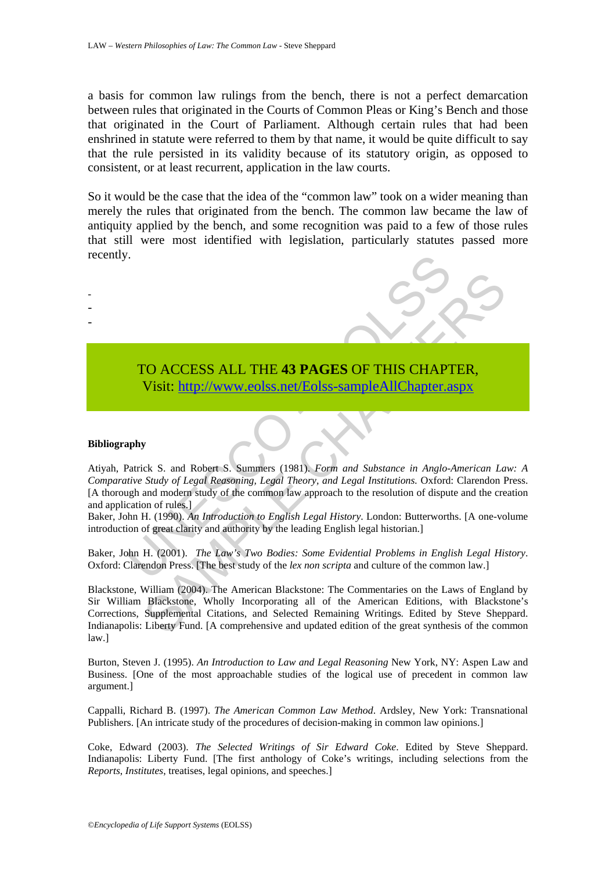a basis for common law rulings from the bench, there is not a perfect demarcation between rules that originated in the Courts of Common Pleas or King's Bench and those that originated in the Court of Parliament. Although certain rules that had been enshrined in statute were referred to them by that name, it would be quite difficult to say that the rule persisted in its validity because of its statutory origin, as opposed to consistent, or at least recurrent, application in the law courts.

So it would be the case that the idea of the "common law" took on a wider meaning than merely the rules that originated from the bench. The common law became the law of antiquity applied by the bench, and some recognition was paid to a few of those rules that still were most identified with legislation, particularly statutes passed more recently.



#### **Bibliography**

- - -

TO ACCESS ALL THE 43 PAGES OF THIS CHAPT<br>
Visit: http://www.eolss.net/Eolss-sampleAllChapter.a<br>
phy<br>
patrick S. and Robert S. Summers (1981). Form and Substance in Anglo-<br>
patrick S. and Robert S. Summers (1981). Form and Atiyah, Patrick S. and Robert S. Summers (1981). *Form and Substance in Anglo-American Law: A Comparative Study of Legal Reasoning, Legal Theory, and Legal Institutions.* Oxford: Clarendon Press. [A thorough and modern study of the common law approach to the resolution of dispute and the creation and application of rules.]

Baker, John H. (1990). *An Introduction to English Legal History*. London: Butterworths. [A one-volume introduction of great clarity and authority by the leading English legal historian.]

Baker, John H. (2001). *The Law's Two Bodies: Some Evidential Problems in English Legal History*. Oxford: Clarendon Press. [The best study of the *lex non scripta* and culture of the common law.]

TO ACCESS ALL THE 43 PAGES OF THIS CH[APT](https://www.eolss.net/ebooklib/sc_cart.aspx?File=E6-31-01-02)ER,<br>
Visit: http://www.eolss.net/Eolss-sampleAllChapter.aspx<br>
Surface in Anglo-American La<br>
Sudy of Legal Reasoning, Legal Theory, and Legal Institutions. Oxford: Clarendon F<br>
and mo Blackstone, William (2004). The American Blackstone: The Commentaries on the Laws of England by Sir William Blackstone, Wholly Incorporating all of the American Editions, with Blackstone's Corrections, Supplemental Citations, and Selected Remaining Writings. Edited by Steve Sheppard. Indianapolis: Liberty Fund. [A comprehensive and updated edition of the great synthesis of the common law.]

Burton, Steven J. (1995). *An Introduction to Law and Legal Reasoning* New York, NY: Aspen Law and Business. [One of the most approachable studies of the logical use of precedent in common law argument.]

Cappalli, Richard B. (1997). *The American Common Law Method*. Ardsley, New York: Transnational Publishers. [An intricate study of the procedures of decision-making in common law opinions.]

Coke, Edward (2003). *The Selected Writings of Sir Edward Coke*. Edited by Steve Sheppard. Indianapolis: Liberty Fund. [The first anthology of Coke's writings, including selections from the *Reports*, *Institutes*, treatises, legal opinions, and speeches.]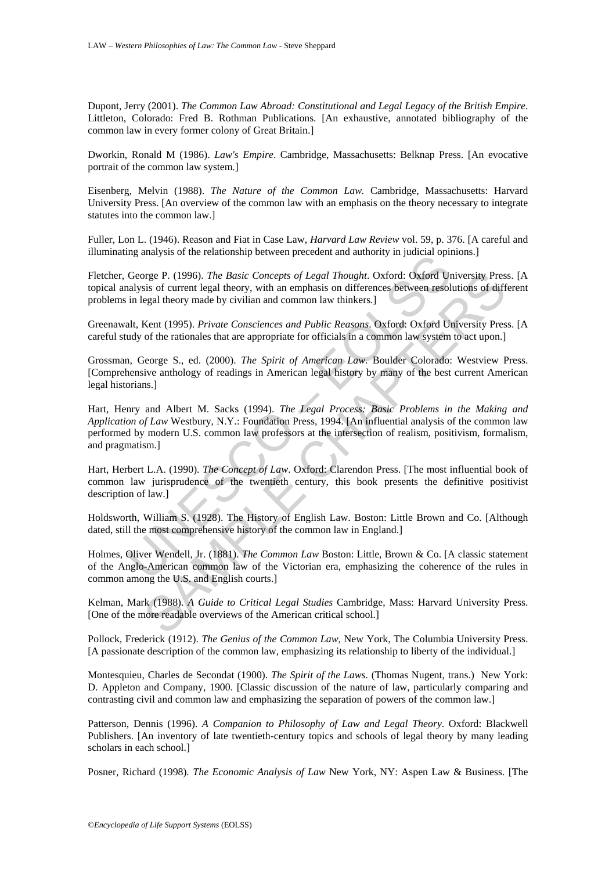Dupont, Jerry (2001). *The Common Law Abroad: Constitutional and Legal Legacy of the British Empire*. Littleton, Colorado: Fred B. Rothman Publications. [An exhaustive, annotated bibliography of the common law in every former colony of Great Britain.]

Dworkin, Ronald M (1986). *Law's Empire*. Cambridge, Massachusetts: Belknap Press. [An evocative portrait of the common law system.]

Eisenberg, Melvin (1988). *The Nature of the Common Law.* Cambridge, Massachusetts: Harvard University Press. [An overview of the common law with an emphasis on the theory necessary to integrate statutes into the common law.]

Fuller, Lon L. (1946). Reason and Fiat in Case Law, *Harvard Law Review* vol. 59, p. 376. [A careful and illuminating analysis of the relationship between precedent and authority in judicial opinions.]

Fletcher, George P. (1996). *The Basic Concepts of Legal Thought*. Oxford: Oxford University Press. [A topical analysis of current legal theory, with an emphasis on differences between resolutions of different problems in legal theory made by civilian and common law thinkers.]

Greenawalt, Kent (1995). *Private Consciences and Public Reasons*. Oxford: Oxford University Press. [A careful study of the rationales that are appropriate for officials in a common law system to act upon.]

Grossman, George S., ed. (2000). *The Spirit of American Law*. Boulder Colorado: Westview Press. [Comprehensive anthology of readings in American legal history by many of the best current American legal historians.]

ing analysis of the telestosimp between precedent and admostivy in judicial opin<br>George P. (1996). The Basic Concepts of Legal Thought. Oxford: Oxford Un<br>altysis of current legal theory, with an emphasis on differences bet precise P. (1996). *The Basic Concepts of Legal Thought*. Oxford: Oxford University Press<br>is of current legal theory, with an emphasis on differences between resolutions of diff<br>segal theory made by civilian and common la Hart, Henry and Albert M. Sacks (1994). *The Legal Process: Basic Problems in the Making and Application of Law* Westbury, N.Y.: Foundation Press, 1994. [An influential analysis of the common law performed by modern U.S. common law professors at the intersection of realism, positivism, formalism, and pragmatism.]

Hart, Herbert L.A. (1990). *The Concept of Law*. Oxford: Clarendon Press. [The most influential book of common law jurisprudence of the twentieth century, this book presents the definitive positivist description of law.]

Holdsworth, William S. (1928). The History of English Law. Boston: Little Brown and Co. [Although dated, still the most comprehensive history of the common law in England.]

Holmes, Oliver Wendell, Jr. (1881). *The Common Law* Boston: Little, Brown & Co. [A classic statement of the Anglo-American common law of the Victorian era, emphasizing the coherence of the rules in common among the U.S. and English courts.]

Kelman, Mark (1988). *A Guide to Critical Legal Studies* Cambridge, Mass: Harvard University Press. [One of the more readable overviews of the American critical school.]

Pollock, Frederick (1912). *The Genius of the Common Law*, New York, The Columbia University Press. [A passionate description of the common law, emphasizing its relationship to liberty of the individual.]

Montesquieu, Charles de Secondat (1900). *The Spirit of the Laws*. (Thomas Nugent, trans.) New York: D. Appleton and Company, 1900. [Classic discussion of the nature of law, particularly comparing and contrasting civil and common law and emphasizing the separation of powers of the common law.]

Patterson, Dennis (1996). *A Companion to Philosophy of Law and Legal Theory*. Oxford: Blackwell Publishers. [An inventory of late twentieth-century topics and schools of legal theory by many leading scholars in each school.]

Posner, Richard (1998)*. The Economic Analysis of Law* New York, NY: Aspen Law & Business. [The